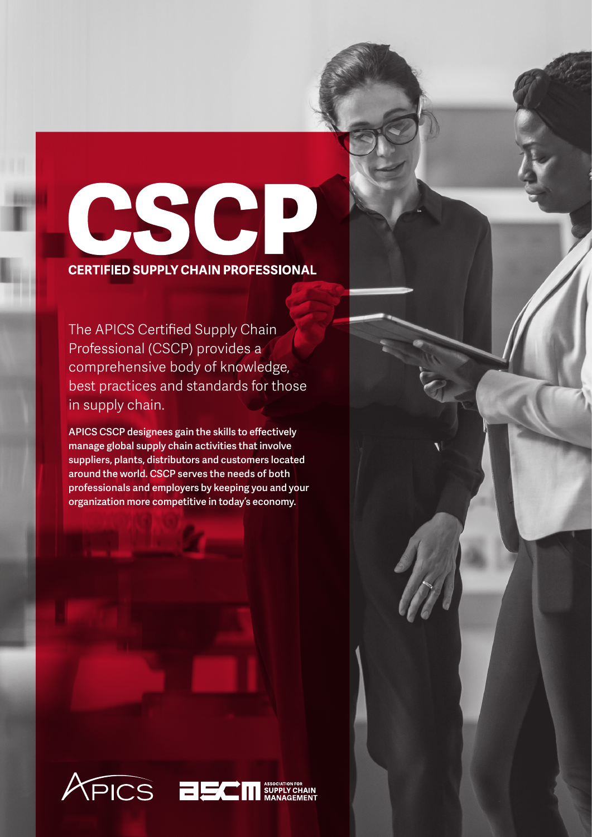

The APICS Certified Supply Chain Professional (CSCP) provides a comprehensive body of knowledge, best practices and standards for those in supply chain.

APICS CSCP designees gain the skills to effectively manage global supply chain activities that involve suppliers, plants, distributors and customers located around the world. CSCP serves the needs of both professionals and employers by keeping you and your organization more competitive in today's economy.

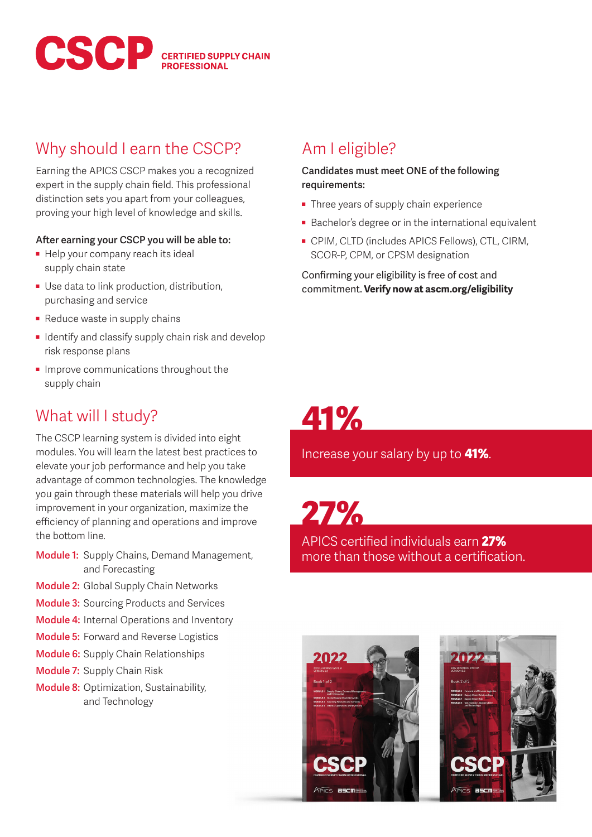

### Why should I earn the CSCP?

Earning the APICS CSCP makes you a recognized expert in the supply chain field. This professional distinction sets you apart from your colleagues, proving your high level of knowledge and skills.

#### **After earning your CSCP you will be able to:**

- Help your company reach its ideal supply chain state
- Use data to link production, distribution, purchasing and service
- Reduce waste in supply chains
- Identify and classify supply chain risk and develop risk response plans
- Improve communications throughout the supply chain

### What will I study?

The CSCP learning system is divided into eight modules. You will learn the latest best practices to elevate your job performance and help you take advantage of common technologies. The knowledge you gain through these materials will help you drive improvement in your organization, maximize the efficiency of planning and operations and improve the bottom line.

- Module 1: Supply Chains, Demand Management, and Forecasting
- **Module 2: Global Supply Chain Networks**
- **Module 3: Sourcing Products and Services**
- Module 4: Internal Operations and Inventory
- **Module 5: Forward and Reverse Logistics**
- Module 6: Supply Chain Relationships
- Module 7: Supply Chain Risk
- Module 8: Optimization, Sustainability, and Technology

### Am I eligible?

**Candidates must meet ONE of the following requirements:**

- Three years of supply chain experience
- Bachelor's degree or in the international equivalent
- CPIM, CLTD (includes APICS Fellows), CTL, CIRM, SCOR-P, CPM, or CPSM designation

Confirming your eligibility is free of cost and commitment. **Verify now at ascm.org/eligibility**

# 41%

Increase your salary by up to **41%**.

27%

APICS certified individuals earn 27% more than those without a certification.



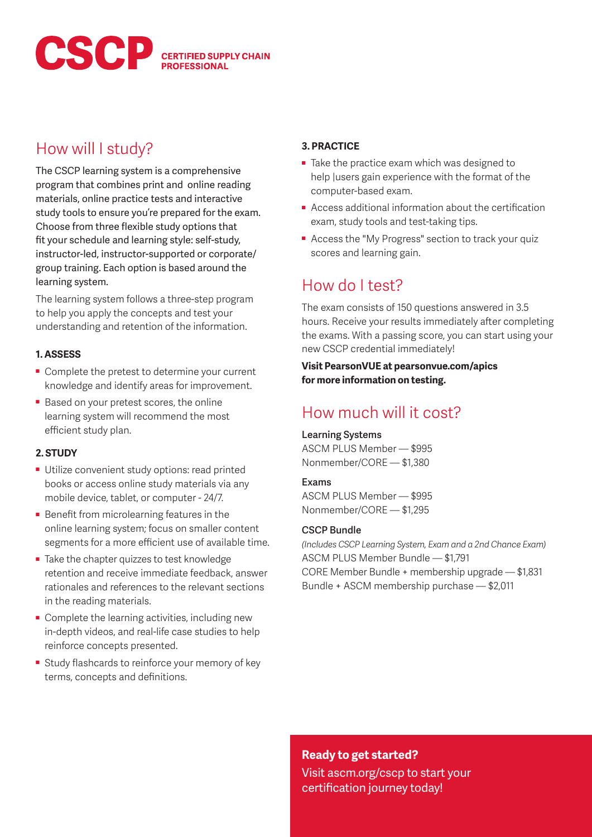

### How will I study?

The CSCP learning system is a comprehensive program that combines print and online reading materials, online practice tests and interactive study tools to ensure you're prepared for the exam. Choose from three flexible study options that fit your schedule and learning style: self-study, instructor-led, instructor-supported or corporate/ group training. Each option is based around the learning system.

The learning system follows a three-step program to help you apply the concepts and test your understanding and retention of the information.

#### **1. ASSESS**

- Complete the pretest to determine your current knowledge and identify areas for improvement.
- Based on your pretest scores, the online learning system will recommend the most efficient study plan.

#### **2. STUDY**

- Utilize convenient study options: read printed books or access online study materials via any mobile device, tablet, or computer - 24/7.
- Benefit from microlearning features in the online learning system; focus on smaller content segments for a more efficient use of available time.
- Take the chapter quizzes to test knowledge retention and receive immediate feedback, answer rationales and references to the relevant sections in the reading materials.
- Complete the learning activities, including new in-depth videos, and real-life case studies to help reinforce concepts presented.
- Study flashcards to reinforce your memory of key terms, concepts and definitions.

#### **3. PRACTICE**

- Take the practice exam which was designed to help |users gain experience with the format of the computer-based exam.
- Access additional information about the certification exam, study tools and test-taking tips.
- Access the "My Progress" section to track your quiz scores and learning gain.

### How do I test?

The exam consists of 150 questions answered in 3.5 hours. Receive your results immediately after completing the exams. With a passing score, you can start using your new CSCP credential immediately!

**Visit PearsonVUE at pearsonvue.com/apics for more information on testing.** 

### How much will it cost?

#### Learning Systems

ASCM PLUS Member — \$995 Nonmember/CORE — \$1,380

#### Exams

ASCM PLUS Member — \$995 Nonmember/CORE — \$1,295

#### CSCP Bundle

*(Includes CSCP Learning System, Exam and a 2nd Chance Exam)* ASCM PLUS Member Bundle — \$1,791 CORE Member Bundle + membership upgrade — \$1,831 Bundle + ASCM membership purchase — \$2,011

#### **Ready to get started?**

Visit ascm.org/cscp to start your certification journey today!